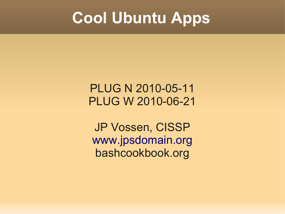#### **Cool Ubuntu Apps**

#### PLUG N 2010-05-11 PLUG W 2010-06-21

JP Vossen, CISSP [www.jpsdomain.org](http://www.jpsdomain.org/) bashcookbook.org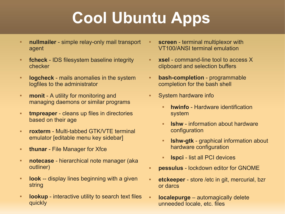# **Cool Ubuntu Apps**

- **nullmailer** simple relay-only mail transport agent
- **fcheck** IDS filesystem baseline integrity checker
- ٠ **logcheck** - mails anomalies in the system logfiles to the administrator
- **monit** A utility for monitoring and managing daemons or similar programs
- **tmpreaper** cleans up files in directories based on their age
- **roxterm** Multi-tabbed GTK/VTE terminal emulator [editable menu key sidebar]
- **thunar** File Manager for Xfce
- **notecase** hierarchical note manager (aka outliner)
- ٠ **look** -- display lines beginning with a given string
- ä, **lookup** - interactive utility to search text files quickly
- **screen** terminal multiplexor with VT100/ANSI terminal emulation
- **xsel** command-line tool to access X clipboard and selection buffers
- **bash-completion** programmable completion for the bash shell
- **System hardware info** 
	- **hwinfo** Hardware identification system
	- E **lshw** - information about hardware configuration
	- E **lshw-gtk** - graphical information about hardware configuration
	- ٠ **lspci** - list all PCI devices
- **pessulus** lockdown editor for GNOME
- **etckeeper** store /etc in git, mercurial, bzr or darcs
- ×, **localepurge** – automagically delete unneeded locale, etc. files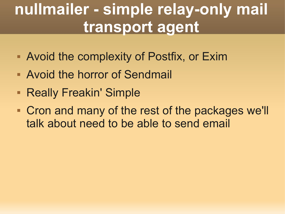## **nullmailer - simple relay-only mail transport agent**

- **Avoid the complexity of Postfix, or Exim**
- Avoid the horror of Sendmail
- **Really Freakin' Simple**
- Cron and many of the rest of the packages we'll talk about need to be able to send email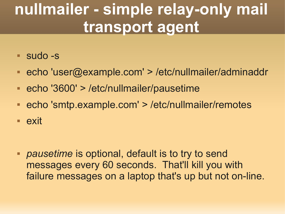## **nullmailer - simple relay-only mail transport agent**

- sudo -s
- echo 'user@example.com' > /etc/nullmailer/adminaddr
- echo '3600' > /etc/nullmailer/pausetime
- echo 'smtp.example.com' > /etc/nullmailer/remotes
- **exit**

 *pausetime* is optional, default is to try to send messages every 60 seconds. That'll kill you with failure messages on a laptop that's up but not on-line.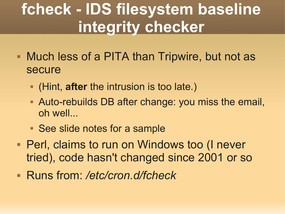## **fcheck - IDS filesystem baseline integrity checker**

- Much less of a PITA than Tripwire, but not as secure
	- (Hint, **after** the intrusion is too late.)
	- Auto-rebuilds DB after change: you miss the email, oh well...
	- See slide notes for a sample
- **Perl, claims to run on Windows too (I never** tried), code hasn't changed since 2001 or so
- Runs from: */etc/cron.d/fcheck*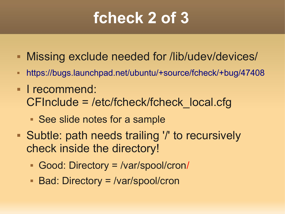### **fcheck 2 of 3**

- **Missing exclude needed for /lib/udev/devices/**
- <https://bugs.launchpad.net/ubuntu/+source/fcheck/+bug/47408>
- **I** recommend: CFInclude = /etc/fcheck/fcheck\_local.cfg
	- See slide notes for a sample
- Subtle: path needs trailing '/' to recursively check inside the directory!
	- Good: Directory = /var/spool/cron/
	- Bad: Directory = /var/spool/cron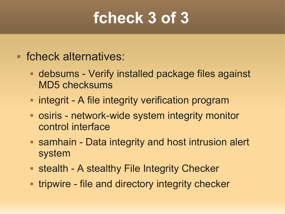#### **fcheck 3 of 3**

- fcheck alternatives:
	- debsums Verify installed package files against MD5 checksums
	- **integrit A file integrity verification program**
	- osiris network-wide system integrity monitor control interface
	- samhain Data integrity and host intrusion alert system
	- **Stealth A stealthy File Integrity Checker**
	- **tripwire file and directory integrity checker**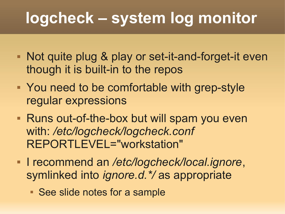## **logcheck – system log monitor**

- Not quite plug & play or set-it-and-forget-it even though it is built-in to the repos
- You need to be comfortable with grep-style regular expressions
- **Runs out-of-the-box but will spam you even** with: */etc/logcheck/logcheck.conf* REPORTLEVEL="workstation"
- I recommend an */etc/logcheck/local.ignore*, symlinked into *ignore.d.\*/* as appropriate
	- See slide notes for a sample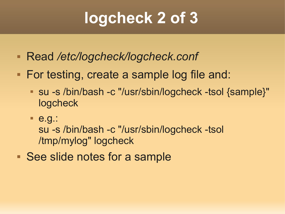## **logcheck 2 of 3**

- Read */etc/logcheck/logcheck.conf*
- For testing, create a sample log file and:
	- su -s /bin/bash -c "/usr/sbin/logcheck -tsol {sample}" logcheck
	- e.g.:

su -s /bin/bash -c "/usr/sbin/logcheck -tsol /tmp/mylog" logcheck

■ See slide notes for a sample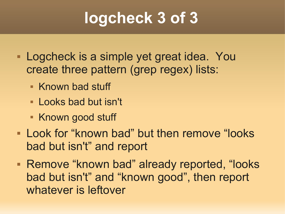## **logcheck 3 of 3**

- Logcheck is a simple yet great idea. You create three pattern (grep regex) lists:
	- **Known bad stuff**
	- **Looks bad but isn't**
	- **Known good stuff**
- **Look for "known bad" but then remove "looks"** bad but isn't" and report
- **Remove "known bad" already reported, "looks** bad but isn't" and "known good", then report whatever is leftover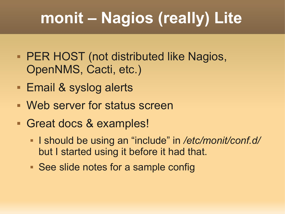# **monit – Nagios (really) Lite**

- **PER HOST (not distributed like Nagios,** OpenNMS, Cacti, etc.)
- **Email & syslog alerts**
- Web server for status screen
- Great docs & examples!
	- I should be using an "include" in */etc/monit/conf.d/* but I started using it before it had that.
	- See slide notes for a sample config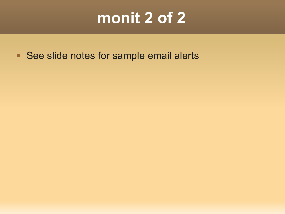#### **monit 2 of 2**

See slide notes for sample email alerts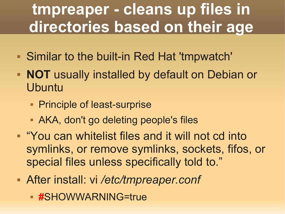## **tmpreaper - cleans up files in directories based on their age**

- Similar to the built-in Red Hat 'tmpwatch'
- **NOT** usually installed by default on Debian or **Ubuntu** 
	- **Principle of least-surprise**
	- AKA, don't go deleting people's files
- **Theory 10 You can whitelist files and it will not cd into** symlinks, or remove symlinks, sockets, fifos, or special files unless specifically told to."
- After install: vi */etc/tmpreaper.conf*
	- **#**SHOWWARNING=true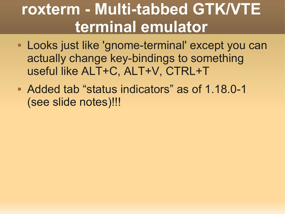### **roxterm - Multi-tabbed GTK/VTE terminal emulator**

- Looks just like 'gnome-terminal' except you can actually change key-bindings to something useful like ALT+C, ALT+V, CTRL+T
- Added tab "status indicators" as of 1.18.0-1 (see slide notes)!!!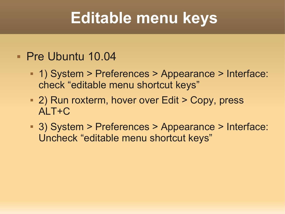### **Editable menu keys**

#### Pre Ubuntu 10.04

- 1) System > Preferences > Appearance > Interface: check "editable menu shortcut keys"
- 2) Run roxterm, hover over Edit > Copy, press ALT+C
- 3) System > Preferences > Appearance > Interface: Uncheck "editable menu shortcut keys"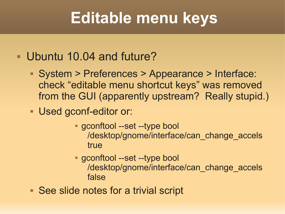### **Editable menu keys**

#### Ubuntu 10.04 and future?

- System > Preferences > Appearance > Interface: check "editable menu shortcut keys" was removed from the GUI (apparently upstream? Really stupid.)
- Used gconf-editor or:
	- gconftool --set --type bool /desktop/gnome/interface/can\_change\_accels true
	- gconftool --set --type bool /desktop/gnome/interface/can\_change\_accels false
- See slide notes for a trivial script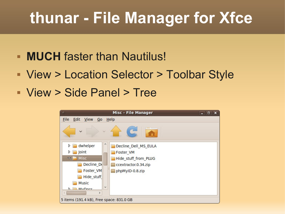### **thunar - File Manager for Xfce**

- **MUCH** faster than Nautilus!
- View > Location Selector > Toolbar Style
- View > Side Panel > Tree

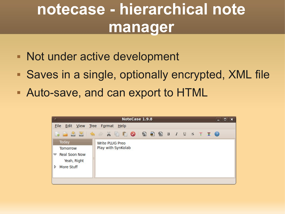## **notecase - hierarchical note manager**

- Not under active development
- Saves in a single, optionally encrypted, XML file
- Auto-save, and can export to HTML

|                                                                                         | NoteCase 1.9.8<br>$\begin{array}{c c c c c} \hline \multicolumn{1}{ c }{\mathbf{I}} & \multicolumn{1}{ c }{\mathbf{I}} & \multicolumn{1}{ c }{\mathbf{X}} \end{array}$ |  |  |  |
|-----------------------------------------------------------------------------------------|------------------------------------------------------------------------------------------------------------------------------------------------------------------------|--|--|--|
| File<br>Edit View<br>Tree Format Help                                                   |                                                                                                                                                                        |  |  |  |
|                                                                                         |                                                                                                                                                                        |  |  |  |
| Today<br><b>Tomorrow</b><br><b>Real Soon Now</b><br>▽<br>Yeah, Right<br>More Stuff<br>▷ | <b>Write PLUG Preo</b><br>Play with SynKolab                                                                                                                           |  |  |  |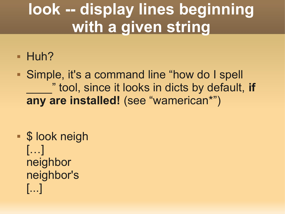## **look -- display lines beginning with a given string**

**- Huh?** 

 Simple, it's a command line "how do I spell \_\_\_\_" tool, since it looks in dicts by default, **if any are installed!** (see "wamerican\*")

**S** look neigh […] neighbor neighbor's [...]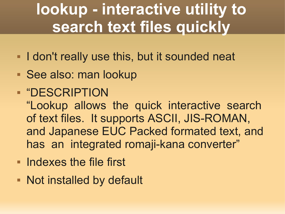## **lookup - interactive utility to search text files quickly**

- **I don't really use this, but it sounded neat**
- See also: man lookup
- "DESCRIPTION

"Lookup allows the quick interactive search of text files. It supports ASCII, JIS-ROMAN, and Japanese EUC Packed formated text, and has an integrated romaji-kana converter"

- **Indexes the file first**
- **Not installed by default**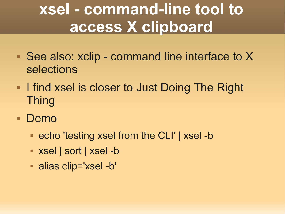## **xsel - command-line tool to access X clipboard**

- See also: xclip command line interface to X selections
- **I** find xsel is closer to Just Doing The Right Thing
- Demo
	- echo 'testing xsel from the CLI' | xsel -b
	- xsel | sort | xsel -b
	- alias clip='xsel -b'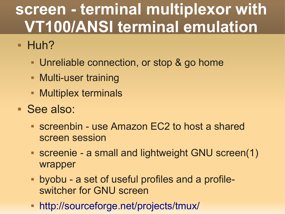# **screen - terminal multiplexor with VT100/ANSI terminal emulation**

- $-Huh?$ 
	- **Unreliable connection, or stop & go home**
	- **Multi-user training**
	- **Multiplex terminals**
- See also:
	- screenbin use Amazon EC2 to host a shared screen session
	- screenie a small and lightweight GNU screen(1) wrapper
	- byobu a set of useful profiles and a profileswitcher for GNU screen
	- <http://sourceforge.net/projects/tmux/>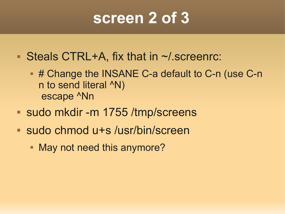#### **screen 2 of 3**

- Steals CTRL+A, fix that in ~/.screenrc:
	- # Change the INSANE C-a default to C-n (use C-n n to send literal ^N) escape ^Nn
- sudo mkdir -m 1755 /tmp/screens
- sudo chmod u+s /usr/bin/screen
	- **May not need this anymore?**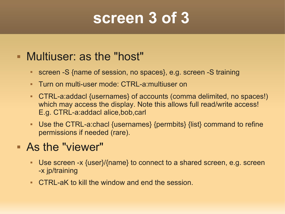#### **screen 3 of 3**

#### Multiuser: as the "host"

- screen -S {name of session, no spaces}, e.g. screen -S training
- Turn on multi-user mode: CTRL-a:multiuser on
- CTRL-a:addacl {usernames} of accounts (comma delimited, no spaces!) which may access the display. Note this allows full read/write access! E.g. CTRL-a:addacl alice,bob,carl
- Use the CTRL-a:chacl {usernames} {permbits} {list} command to refine permissions if needed (rare).

#### As the "viewer"

- Use screen -x {user}/{name} to connect to a shared screen, e.g. screen -x jp/training
- CTRL-aK to kill the window and end the session.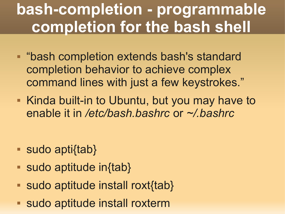## **bash-completion - programmable completion for the bash shell**

- **"bash completion extends bash's standard** completion behavior to achieve complex command lines with just a few keystrokes."
- Kinda built-in to Ubuntu, but you may have to enable it in */etc/bash.bashrc* or *~/.bashrc*

- sudo apti{tab}
- sudo aptitude in{tab}
- sudo aptitude install roxt{tab}
- sudo aptitude install roxterm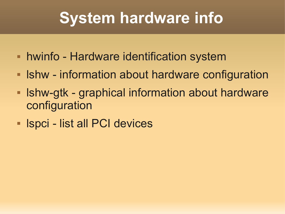# **System hardware info**

- hwinfo Hardware identification system
- **Ishw information about hardware configuration**
- **Industa Shart Starts and Starts Industry Industry-** Information about hardware configuration
- **In Impelie list all PCI devices**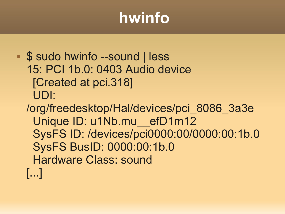# **hwinfo**

- **S** sudo hwinfo --sound | less 15: PCI 1b.0: 0403 Audio device [Created at pci.318] UDI:
	- /org/freedesktop/Hal/devices/pci\_8086\_3a3e Unique ID: u1Nb.mu\_\_efD1m12 SysFS ID: /devices/pci0000:00/0000:00:1b.0 SysFS BusID: 0000:00:1b.0 Hardware Class: sound [...]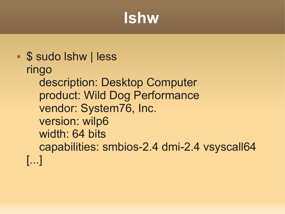#### **lshw**

```
S sudo Ishw | less
ringo
    description: Desktop Computer
    product: Wild Dog Performance
    vendor: System76, Inc.
    version: wilp6
    width: 64 bits
    capabilities: smbios-2.4 dmi-2.4 vsyscall64 
[...]
```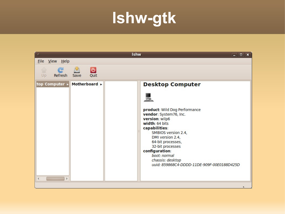#### **lshw-gtk**

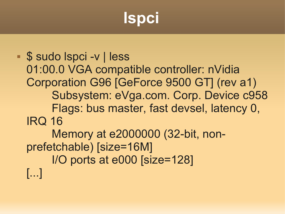## **lspci**

 \$ sudo lspci -v | less 01:00.0 VGA compatible controller: nVidia Corporation G96 [GeForce 9500 GT] (rev a1) Subsystem: eVga.com. Corp. Device c958 Flags: bus master, fast devsel, latency 0, IRQ 16 Memory at e2000000 (32-bit, nonprefetchable) [size=16M] I/O ports at e000 [size=128] [...]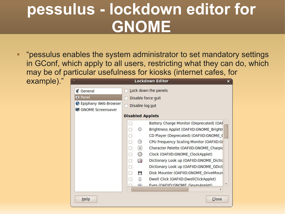### **pessulus - lockdown editor for GNOME**

٠ "pessulus enables the system administrator to set mandatory settings in GConf, which apply to all users, restricting what they can do, which may be of particular usefulness for kiosks (internet cafes, for

example)."

|                                                  |                         | LOCKGOWN EGITOF                          | × |  |
|--------------------------------------------------|-------------------------|------------------------------------------|---|--|
| <i><b>&amp;</b></i> General                      |                         | Lock down the panels                     |   |  |
| <b>a</b> Panel                                   | Disable force quit      |                                          |   |  |
| Epiphany Web Browser<br><b>GNOME Screensaver</b> | Disable log out         |                                          |   |  |
|                                                  | <b>Disabled Applets</b> |                                          |   |  |
|                                                  |                         | Battery Charge Monitor (Deprecated) (OAF |   |  |
|                                                  | ❖                       | Brightness Applet (OAFIID:GNOME_Brightr  |   |  |
|                                                  |                         | CD Player (Deprecated) (OAFIID:GNOME (   |   |  |
|                                                  | ⊙                       | CPU Frequency Scaling Monitor (OAFIID:G  |   |  |
|                                                  | á                       | Character Palette (OAFIID:GNOME Charpid  |   |  |
|                                                  | ℗                       | Clock (OAFIID:GNOME_ClockApplet)         |   |  |
|                                                  | $\Box$                  | Dictionary Look up (OAFIID:GNOME Dictic  |   |  |
|                                                  |                         | Dictionary Look up (OAFIID:GNOME GDict   |   |  |
|                                                  | ۳                       | Disk Mounter (OAFIID:GNOME DriveMoun     |   |  |
|                                                  | O                       | Dwell Click (OAFIID:DwellClickApplet)    |   |  |
|                                                  | <b>G</b>                | Eves (OAEIID:GNOME GevesAnnlet)          |   |  |
|                                                  |                         | $\rightarrow$                            |   |  |
| Help                                             |                         | Close                                    |   |  |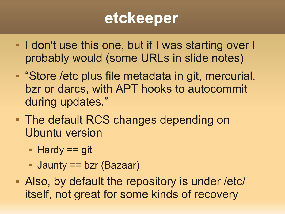#### **etckeeper**

- **I don't use this one, but if I was starting over I** probably would (some URLs in slide notes)
- **Store /etc plus file metadata in git, mercurial,** bzr or darcs, with APT hooks to autocommit during updates."
- **The default RCS changes depending on** Ubuntu version
	- $H$ ardy == git
	- Jaunty == bzr (Bazaar)
- Also, by default the repository is under /etc/ itself, not great for some kinds of recovery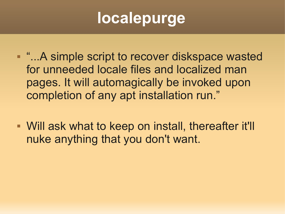# **localepurge**

- **"...A simple script to recover diskspace wasted** for unneeded locale files and localized man pages. It will automagically be invoked upon completion of any apt installation run."
- Will ask what to keep on install, thereafter it'll nuke anything that you don't want.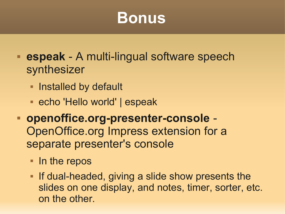#### **Bonus**

- **espeak** A multi-lingual software speech synthesizer
	- **Installed by default**
	- echo 'Hello world' | espeak
- **openoffice.org-presenter-console** OpenOffice.org Impress extension for a separate presenter's console
	- In the repos
	- **If dual-headed, giving a slide show presents the** slides on one display, and notes, timer, sorter, etc. on the other.